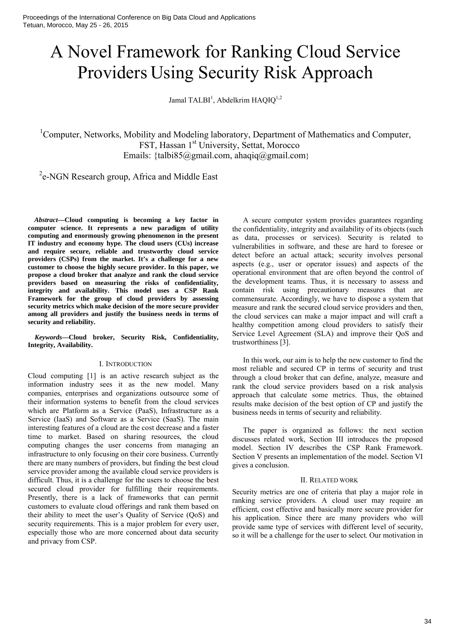# A Novel Framework for Ranking Cloud Service Providers Using Security Risk Approach

Jamal TALBI<sup>1</sup>, Abdelkrim HAQIQ<sup>1,2</sup>

<sup>1</sup>Computer, Networks, Mobility and Modeling laboratory, Department of Mathematics and Computer, FST, Hassan 1<sup>st</sup> University, Settat, Morocco Emails: {talbi85@gmail.com, ahaqiq@gmail.com}

<sup>2</sup>e-NGN Research group, Africa and Middle East

*Abstract***—Cloud computing is becoming a key factor in computer science. It represents a new paradigm of utility computing and enormously growing phenomenon in the present IT industry and economy hype. The cloud users (CUs) increase and require secure, reliable and trustworthy cloud service providers (CSPs) from the market. It's a challenge for a new customer to choose the highly secure provider. In this paper, we propose a cloud broker that analyze and rank the cloud service providers based on measuring the risks of confidentiality, integrity and availability. This model uses a CSP Rank Framework for the group of cloud providers by assessing security metrics which make decision of the more secure provider among all providers and justify the business needs in terms of security and reliability.**

*Keywords***—Cloud broker, Security Risk, Confidentiality, Integrity, Availability.**

# I. INTRODUCTION

Cloud computing [1] is an active research subject as the information industry sees it as the new model. Many companies, enterprises and organizations outsource some of their information systems to benefit from the cloud services which are Platform as a Service (PaaS), Infrastructure as a Service (IaaS) and Software as a Service (SaaS). The main interesting features of a cloud are the cost decrease and a faster time to market. Based on sharing resources, the cloud computing changes the user concerns from managing an infrastructure to only focusing on their core business. Currently there are many numbers of providers, but finding the best cloud service provider among the available cloud service providers is difficult. Thus, it is a challenge for the users to choose the best secured cloud provider for fulfilling their requirements. Presently, there is a lack of frameworks that can permit customers to evaluate cloud offerings and rank them based on their ability to meet the user's Quality of Service (QoS) and security requirements. This is a major problem for every user, especially those who are more concerned about data security and privacy from CSP.

A secure computer system provides guarantees regarding the confidentiality, integrity and availability of its objects (such as data, processes or services). Security is related to vulnerabilities in software, and these are hard to foresee or detect before an actual attack; security involves personal aspects (e.g., user or operator issues) and aspects of the operational environment that are often beyond the control of the development teams. Thus, it is necessary to assess and contain risk using precautionary measures that are commensurate. Accordingly, we have to dispose a system that measure and rank the secured cloud service providers and then, the cloud services can make a major impact and will craft a healthy competition among cloud providers to satisfy their Service Level Agreement (SLA) and improve their QoS and trustworthiness [3].

In this work, our aim is to help the new customer to find the most reliable and secured CP in terms of security and trust through a cloud broker that can define, analyze, measure and rank the cloud service providers based on a risk analysis approach that calculate some metrics. Thus, the obtained results make decision of the best option of CP and justify the business needs in terms of security and reliability.

The paper is organized as follows: the next section discusses related work, Section III introduces the proposed model. Section IV describes the CSP Rank Framework. Section V presents an implementation of the model. Section VI gives a conclusion.

#### II. RELATED WORK

Security metrics are one of criteria that play a major role in ranking service providers. A cloud user may require an efficient, cost effective and basically more secure provider for his application. Since there are many providers who will provide same type of services with different level of security, so it will be a challenge for the user to select. Our motivation in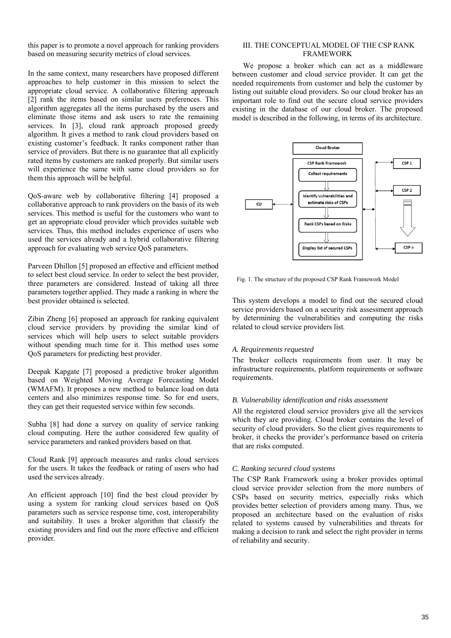this paper is to promote a novel approach for ranking providers based on measuring security metrics of cloud services.

In the same context, many researchers have proposed different approaches to help customer in this mission to select the appropriate cloud service. A collaborative filtering approach [2] rank the items based on similar users preferences. This algorithm aggregates all the items purchased by the users and eliminate those items and ask users to rate the remaining services. In [3], cloud rank approach proposed greedy algorithm. It gives a method to rank cloud providers based on existing customer's feedback. It ranks component rather than service of providers. But there is no guarantee that all explicitly rated items by customers are ranked properly. But similar users will experience the same with same cloud providers so for them this approach will be helpful.

QoS-aware web by collaborative filtering [4] proposed a collaborative approach to rank providers on the basis of its web services. This method is useful for the customers who want to get an appropriate cloud provider which provides suitable web services. Thus, this method includes experience of users who used the services already and a hybrid collaborative filtering approach for evaluating web service QoS parameters.

Parveen Dhillon [5] proposed an effective and efficient method to select best cloud service. In order to select the best provider, three parameters are considered. Instead of taking all three parameters together applied. They made a ranking in where the best provider obtained is selected.

Zibin Zheng [6] proposed an approach for ranking equivalent cloud service providers by providing the similar kind of services which will help users to select suitable providers without spending much time for it. This method uses some QoS parameters for predicting best provider.

Deepak Kapgate [7] proposed a predictive broker algorithm based on Weighted Moving Average Forecasting Model (WMAFM). It proposes a new method to balance load on data centers and also minimizes response time. So for end users, they can get their requested service within few seconds.

Subha [8] had done a survey on quality of service ranking cloud computing. Here the author considered few quality of service parameters and ranked providers based on that.

Cloud Rank [9] approach measures and ranks cloud services for the users. It takes the feedback or rating of users who had used the services already.

An efficient approach [10] find the best cloud provider by using a system for ranking cloud services based on QoS parameters such as service response time, cost, interoperability and suitability. It uses a broker algorithm that classify the existing providers and find out the more effective and efficient provider.

# III. THE CONCEPTUAL MODEL OF THE CSP RANK FRAMEWORK

We propose a broker which can act as a middleware between customer and cloud service provider. It can get the needed requirements from customer and help the customer by listing out suitable cloud providers. So our cloud broker has an important role to find out the secure cloud service providers existing in the database of our cloud broker. The proposed model is described in the following, in terms of its architecture.



Fig. 1. The structure of the proposed CSP Rank Framework Model

This system develops a model to find out the secured cloud service providers based on a security risk assessment approach by determining the vulnerabilities and computing the risks related to cloud service providers list.

### *A. Requirements requested*

The broker collects requirements from user. It may be infrastructure requirements, platform requirements or software requirements.

### *B. Vulnerability identification and risks assessment*

All the registered cloud service providers give all the services which they are providing. Cloud broker contains the level of security of cloud providers. So the client gives requirements to broker, it checks the provider's performance based on criteria that are risks computed.

## *C. Ranking secured cloud systems*

The CSP Rank Framework using a broker provides optimal cloud service provider selection from the more numbers of CSPs based on security metrics, especially risks which provides better selection of providers among many. Thus, we proposed an architecture based on the evaluation of risks related to systems caused by vulnerabilities and threats for making a decision to rank and select the right provider in terms of reliability and security.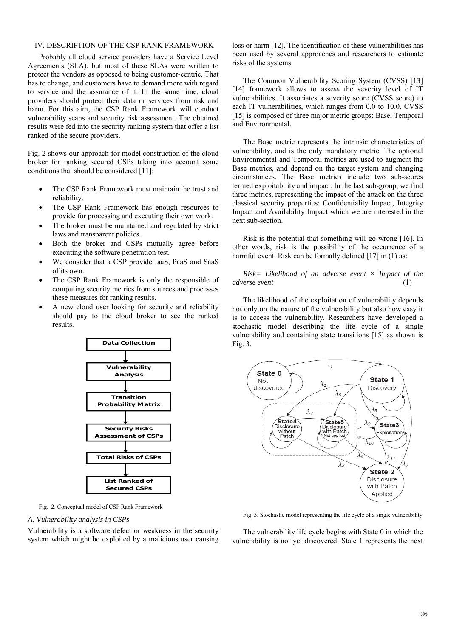# IV. DESCRIPTION OF THE CSP RANK FRAMEWORK

Probably all cloud service providers have a Service Level Agreements (SLA), but most of these SLAs were written to protect the vendors as opposed to being customer-centric. That has to change, and customers have to demand more with regard to service and the assurance of it. In the same time, cloud providers should protect their data or services from risk and harm. For this aim, the CSP Rank Framework will conduct vulnerability scans and security risk assessment. The obtained results were fed into the security ranking system that offer a list ranked of the secure providers.

Fig. 2 shows our approach for model construction of the cloud broker for ranking secured CSPs taking into account some conditions that should be considered [11]:

- The CSP Rank Framework must maintain the trust and reliability.
- The CSP Rank Framework has enough resources to provide for processing and executing their own work.
- The broker must be maintained and regulated by strict laws and transparent policies.
- Both the broker and CSPs mutually agree before executing the software penetration test.
- We consider that a CSP provide IaaS, PaaS and SaaS of its own.
- The CSP Rank Framework is only the responsible of computing security metrics from sources and processes these measures for ranking results.
- A new cloud user looking for security and reliability should pay to the cloud broker to see the ranked results.



Fig. 2. Conceptual model of CSP Rank Framework

# *A. Vulnerability analysis in CSPs*

Vulnerability is a software defect or weakness in the security system which might be exploited by a malicious user causing

loss or harm [12]. The identification of these vulnerabilities has been used by several approaches and researchers to estimate risks of the systems.

The Common Vulnerability Scoring System (CVSS) [13] [14] framework allows to assess the severity level of IT vulnerabilities. It associates a severity score (CVSS score) to each IT vulnerabilities, which ranges from 0.0 to 10.0. CVSS [15] is composed of three major metric groups: Base, Temporal and Environmental.

The Base metric represents the intrinsic characteristics of vulnerability, and is the only mandatory metric. The optional Environmental and Temporal metrics are used to augment the Base metrics, and depend on the target system and changing circumstances. The Base metrics include two sub-scores termed exploitability and impact. In the last sub-group, we find three metrics, representing the impact of the attack on the three classical security properties: Confidentiality Impact, Integrity Impact and Availability Impact which we are interested in the next sub-section.

Risk is the potential that something will go wrong [16]. In other words, risk is the possibility of the occurrence of a harmful event. Risk can be formally defined [17] in (1) as:

*Risk= Likelihood of an adverse event × Impact of the adverse event* (1)

The likelihood of the exploitation of vulnerability depends not only on the nature of the vulnerability but also how easy it is to access the vulnerability. Researchers have developed a stochastic model describing the life cycle of a single vulnerability and containing state transitions [15] as shown is Fig. 3.



Fig. 3. Stochastic model representing the life cycle of a single vulnerability

The vulnerability life cycle begins with State 0 in which the vulnerability is not yet discovered. State 1 represents the next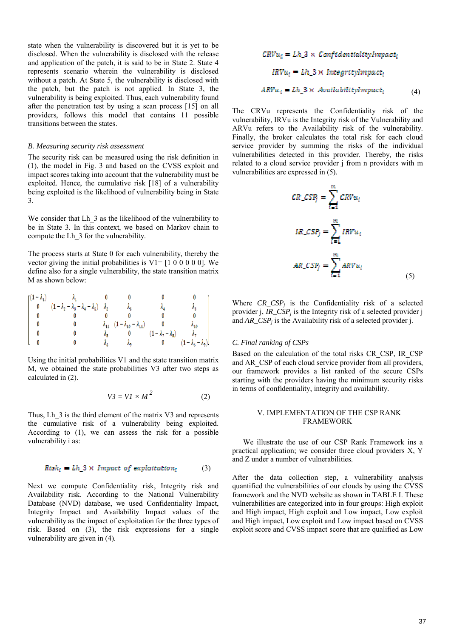state when the vulnerability is discovered but it is yet to be disclosed. When the vulnerability is disclosed with the release and application of the patch, it is said to be in State 2. State 4 represents scenario wherein the vulnerability is disclosed without a patch. At State 5, the vulnerability is disclosed with the patch, but the patch is not applied. In State 3, the vulnerability is being exploited. Thus, each vulnerability found after the penetration test by using a scan process [15] on all providers, follows this model that contains 11 possible transitions between the states.

#### *B. Measuring security risk assessment*

The security risk can be measured using the risk definition in (1), the model in Fig. 3 and based on the CVSS exploit and impact scores taking into account that the vulnerability must be exploited. Hence, the cumulative risk [18] of a vulnerability being exploited is the likelihood of vulnerability being in State 3.

We consider that Lh  $\overline{3}$  as the likelihood of the vulnerability to be in State 3. In this context, we based on Markov chain to compute the Lh\_3 for the vulnerability.

The process starts at State 0 for each vulnerability, thereby the vector giving the initial probabilities is  $V1 = [1 \ 0 \ 0 \ 0 \ 0 \ 0]$ . We define also for a single vulnerability, the state transition matrix M as shown below:

| $\left[\left(1-\lambda_{1}\right)\right]$ |                                                           |                                         |                                                    |                           |                           |
|-------------------------------------------|-----------------------------------------------------------|-----------------------------------------|----------------------------------------------------|---------------------------|---------------------------|
|                                           | $(1-\lambda_2-\lambda_3-\lambda_4-\lambda_5)$ $\lambda_2$ |                                         | А,                                                 |                           |                           |
|                                           |                                                           |                                         |                                                    |                           |                           |
|                                           |                                                           |                                         | $\lambda_{11}$ $(1 - \lambda_{10} - \lambda_{11})$ |                           | Asa                       |
|                                           |                                                           | $\lambda_{\rm B}$ and $\lambda_{\rm B}$ |                                                    | $(1-\lambda_7-\lambda_8)$ |                           |
|                                           |                                                           |                                         | As.                                                |                           | $(1-\lambda_6-\lambda_9)$ |

Using the initial probabilities V1 and the state transition matrix M, we obtained the state probabilities V3 after two steps as calculated in (2).

$$
V3 = VI \times M^2 \tag{2}
$$

Thus, Lh<sub>3</sub> is the third element of the matrix V3 and represents the cumulative risk of a vulnerability being exploited. According to (1), we can assess the risk for a possible vulnerability i as:

$$
Risk_i = Lh_3 \times Impact\ of\ exploitation_i \tag{3}
$$

Next we compute Confidentiality risk, Integrity risk and Availability risk. According to the National Vulnerability Database (NVD) database, we used Confidentiality Impact, Integrity Impact and Availability Impact values of the vulnerability as the impact of exploitation for the three types of risk. Based on (3), the risk expressions for a single vulnerability are given in (4).

$$
CRVu_i = Lh_3 \times \text{Confidentiality} \times \text{Im} \times \text{R} \times \text{H} \times \text{H} \times \text{H} \times \text{H} \times \text{H} \times \text{H} \times \text{H} \times \text{H} \times \text{H} \times \text{H} \times \text{H} \times \text{H} \times \text{H} \times \text{H} \times \text{H} \times \text{H} \times \text{H} \times \text{H} \times \text{H} \times \text{H} \times \text{H} \times \text{H} \times \text{H} \times \text{H} \times \text{H} \times \text{H} \times \text{H} \times \text{H} \times \text{H} \times \text{H} \times \text{H} \times \text{H} \times \text{H} \times \text{H} \times \text{H} \times \text{H} \times \text{H} \times \text{H} \times \text{H} \times \text{H} \times \text{H} \times \text{H} \times \text{H} \times \text{H} \times \text{H} \times \text{H} \times \text{H} \times \text{H} \times \text{H} \times \text{H} \times \text{H} \times \text{H} \times \text{H} \times \text{H} \times \text{H} \times \text{H} \times \text{H} \times \text{H} \times \text{H} \times \text{H} \times \text{H} \times \text{H} \times \text{H} \times \text{H} \times \text{H} \times \text{H} \times \text{H} \times \text{H} \times \text{H} \times \text{H} \times \text{H} \times \text{H} \times \text{H} \times \text{H} \times \text{H} \times \text{H} \times \text{H} \times \text{H} \times \text{H} \times \text{H} \times \text{H} \times \text{H} \times \text{H} \times \text{H} \times \text{H} \times \text{H} \times \text{H} \times \text{H} \times \text{H} \times \text{H} \times \text{H} \times \text{H} \times \text{H} \times \text{H} \times \text{H} \times \text{H} \times \text{H} \times \text{H} \times \text{H} \times \text{H} \times \text{H} \times \text{H} \times \text{H} \times \text{H}
$$

The CRVu represents the Confidentiality risk of the vulnerability, IRVu is the Integrity risk of the Vulnerability and ARVu refers to the Availability risk of the vulnerability. Finally, the broker calculates the total risk for each cloud service provider by summing the risks of the individual vulnerabilities detected in this provider. Thereby, the risks related to a cloud service provider j from n providers with m vulnerabilities are expressed in (5).

$$
CR\_CSP_j = \sum_{i=1}^{m} CRVu_i
$$
  

$$
IR\_CSP_j = \sum_{i=1}^{m} IRVu_i
$$
  

$$
AR\_CSP_j = \sum_{i=1}^{m} ARVu_i
$$
 (5)

Where *CR\_CSP<sub>i</sub>* is the Confidentiality risk of a selected provider j, *IR\_CSP<sub>i</sub>* is the Integrity risk of a selected provider j and *AR\_CSPj* is the Availability risk of a selected provider j.

#### *C. Final ranking of CSPs*

Based on the calculation of the total risks CR\_CSP, IR\_CSP and AR\_CSP of each cloud service provider from all providers, our framework provides a list ranked of the secure CSPs starting with the providers having the minimum security risks in terms of confidentiality, integrity and availability.

## V. IMPLEMENTATION OF THE CSP RANK FRAMEWORK

We illustrate the use of our CSP Rank Framework ins a practical application; we consider three cloud providers X, Y and Z under a number of vulnerabilities.

After the data collection step, a vulnerability analysis quantified the vulnerabilities of our clouds by using the CVSS framework and the NVD website as shown in TABLE I. These vulnerabilities are categorized into in four groups: High exploit and High impact, High exploit and Low impact, Low exploit and High impact, Low exploit and Low impact based on CVSS exploit score and CVSS impact score that are qualified as Low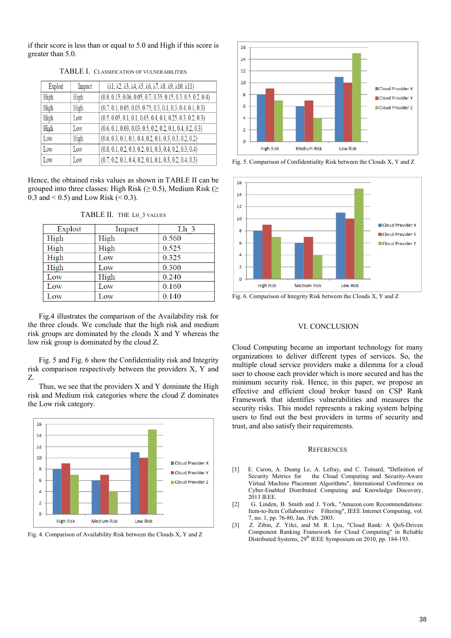if their score is less than or equal to 5.0 and High if this score is greater than 5.0.

| Exploit | Impact | $(\lambda_1, \lambda_2, \lambda_3, \lambda_4, \lambda_5, \lambda_6, \lambda_7, \lambda_8, \lambda_9, \lambda_10, \lambda_11)$ |
|---------|--------|-------------------------------------------------------------------------------------------------------------------------------|
| High    | High   | $(0.8, 0.15, 0.06, 0.05, 0.7, 0.35, 0.15, 0.3, 0.5, 0.2, 0.4)$                                                                |
| High    | High   | $(0.7, 0.1, 0.05, 0.05, 0.75, 0.3, 0.1, 0.3, 0.4, 0.1, 0.3)$                                                                  |
| High    | Low    | $(0.5, 0.05, 0.1, 0.1, 0.65, 0.4, 0.1, 0.25, 0.3, 0.2, 0.3)$                                                                  |
| High    | Low    | $(0.6, 0.1, 0.03, 0.03, 0.5, 0.2, 0.2, 0.1, 0.4, 0.2, 0.3)$                                                                   |
| Low     | High   | $(0.6, 0.3, 0.1, 0.1, 0.4, 0.2, 0.1, 0.3, 0.3, 0.2, 0.2)$                                                                     |
| Low     | Low    | $(0.8, 0.1, 0.2, 0.3, 0.2, 0.1, 0.3, 0.4, 0.2, 0.3, 0.4)$                                                                     |
| Low     | Low    | $(0.7, 0.2, 0.1, 0.4, 0.2, 0.1, 0.1, 0.3, 0.2, 0.4, 0.3)$                                                                     |

TABLE I. CLASSIFICATION OF VULNERABILITIES

Hence, the obtained risks values as shown in TABLE II can be grouped into three classes: High Risk ( $\geq$  0.5), Medium Risk ( $\geq$ 0.3 and  $< 0.5$ ) and Low Risk  $(< 0.3)$ .

| Exploit | Impact | Lh <sub>3</sub> |
|---------|--------|-----------------|
| High    | High   | 0.560           |
| High    | High   | 0.525           |
| High    | Low    | 0.325           |
| High    | Low    | 0.300           |
| Low     | High   | 0.240           |
| Low     | Low    | 0.160           |
| Low     | Low    | 0.140           |

TABLE II. THE LH\_3 VALUES

Fig.4 illustrates the comparison of the Availability risk for the three clouds. We conclude that the high risk and medium risk groups are dominated by the clouds X and Y whereas the low risk group is dominated by the cloud Z.

Fig. 5 and Fig. 6 show the Confidentiality risk and Integrity risk comparison respectively between the providers X, Y and Z.

Thus, we see that the providers X and Y dominate the High risk and Medium risk categories where the cloud Z dominates the Low risk category.



Fig. 4. Comparison of Availability Risk between the Clouds X, Y and Z



Fig. 5. Comparison of Confidentiality Risk between the Clouds X, Y and Z



Fig. 6. Comparison of Integrity Risk between the Clouds X, Y and Z

# VI. CONCLUSION

Cloud Computing became an important technology for many organizations to deliver different types of services. So, the multiple cloud service providers make a dilemma for a cloud user to choose each provider which is more secured and has the minimum security risk. Hence, in this paper, we propose an effective and efficient cloud broker based on CSP Rank Framework that identifies vulnerabilities and measures the security risks. This model represents a raking system helping users to find out the best providers in terms of security and trust, and also satisfy their requirements.

#### **REFERENCES**

- E. Caron, A. Duang Le, A. Lefray, and C. Toinard, "Definition of Security Metrics for the Cloud Computing and Security-Aware Virtual Machine Placement Algorithms", International Conference on Cyber-Enabled Distributed Computing and Knowledge Discovery, 2013 IEEE.
- [2] G. Linden, B. Smith and J. York, "Amazon.com Recommendations: Item-to-Item Collaborative Filtering", IEEE Internet Computing, vol. 7, no. 1, pp. 76-80, Jan. /Feb. 2003.
- [3] Z. Zibin, Z. Yilei, and M. R. Lyu, "Cloud Rank: A QoS-Driven Component Ranking Framework for Cloud Computing" in Reliable Distributed Systems, 29<sup>th</sup> IEEE Symposium on 2010, pp. 184-193.